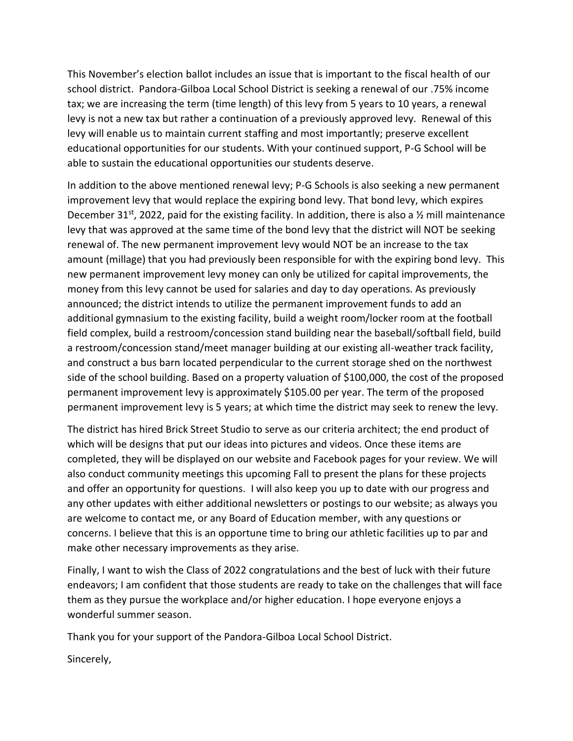This November's election ballot includes an issue that is important to the fiscal health of our school district. Pandora-Gilboa Local School District is seeking a renewal of our .75% income tax; we are increasing the term (time length) of this levy from 5 years to 10 years, a renewal levy is not a new tax but rather a continuation of a previously approved levy. Renewal of this levy will enable us to maintain current staffing and most importantly; preserve excellent educational opportunities for our students. With your continued support, P-G School will be able to sustain the educational opportunities our students deserve.

In addition to the above mentioned renewal levy; P-G Schools is also seeking a new permanent improvement levy that would replace the expiring bond levy. That bond levy, which expires December 31<sup>st</sup>, 2022, paid for the existing facility. In addition, there is also a  $\frac{1}{2}$  mill maintenance levy that was approved at the same time of the bond levy that the district will NOT be seeking renewal of. The new permanent improvement levy would NOT be an increase to the tax amount (millage) that you had previously been responsible for with the expiring bond levy. This new permanent improvement levy money can only be utilized for capital improvements, the money from this levy cannot be used for salaries and day to day operations. As previously announced; the district intends to utilize the permanent improvement funds to add an additional gymnasium to the existing facility, build a weight room/locker room at the football field complex, build a restroom/concession stand building near the baseball/softball field, build a restroom/concession stand/meet manager building at our existing all-weather track facility, and construct a bus barn located perpendicular to the current storage shed on the northwest side of the school building. Based on a property valuation of \$100,000, the cost of the proposed permanent improvement levy is approximately \$105.00 per year. The term of the proposed permanent improvement levy is 5 years; at which time the district may seek to renew the levy.

The district has hired Brick Street Studio to serve as our criteria architect; the end product of which will be designs that put our ideas into pictures and videos. Once these items are completed, they will be displayed on our website and Facebook pages for your review. We will also conduct community meetings this upcoming Fall to present the plans for these projects and offer an opportunity for questions. I will also keep you up to date with our progress and any other updates with either additional newsletters or postings to our website; as always you are welcome to contact me, or any Board of Education member, with any questions or concerns. I believe that this is an opportune time to bring our athletic facilities up to par and make other necessary improvements as they arise.

Finally, I want to wish the Class of 2022 congratulations and the best of luck with their future endeavors; I am confident that those students are ready to take on the challenges that will face them as they pursue the workplace and/or higher education. I hope everyone enjoys a wonderful summer season.

Thank you for your support of the Pandora-Gilboa Local School District.

Sincerely,